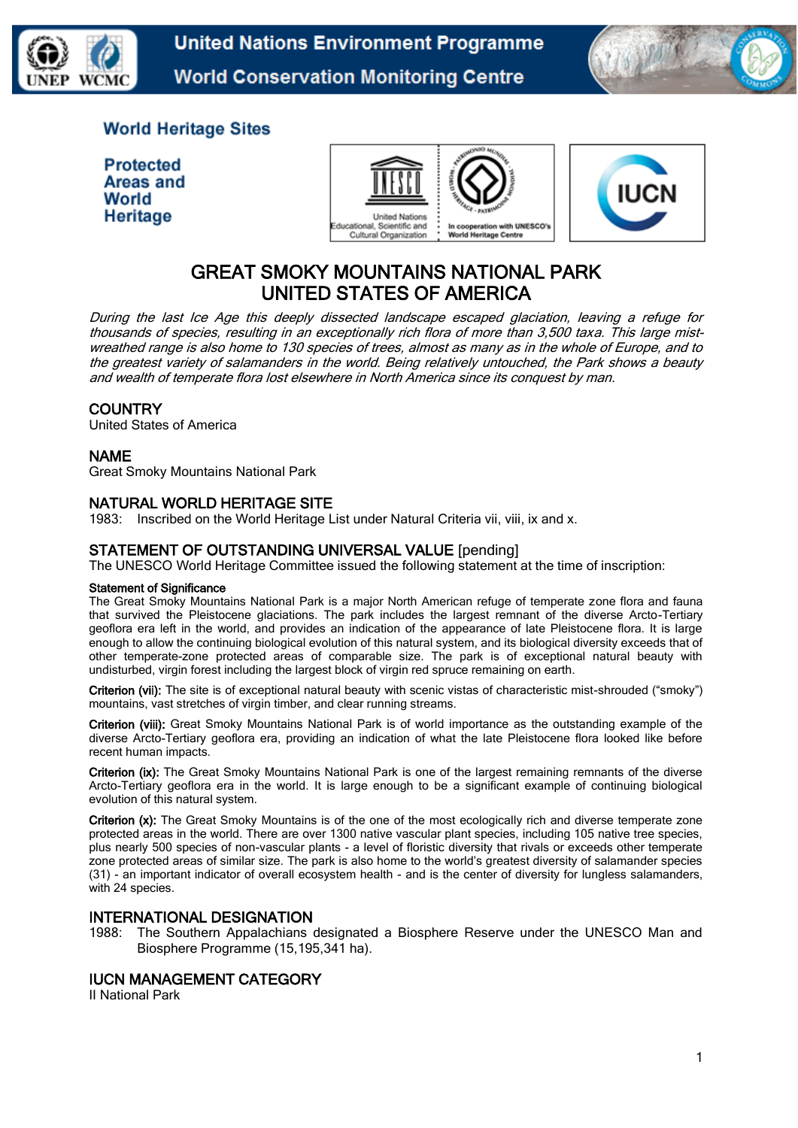

**United Nations Environment Programme World Conservation Monitoring Centre** 



# **World Heritage Sites**

| <b>Protected</b> |
|------------------|
| Areas and        |
| World            |
| Heritage         |





# GREAT SMOKY MOUNTAINS NATIONAL PARK UNITED STATES OF AMERICA

During the last Ice Age this deeply dissected landscape escaped glaciation, leaving a refuge for thousands of species, resulting in an exceptionally rich flora of more than 3,500 taxa. This large mistwreathed range is also home to 130 species of trees, almost as many as in the whole of Europe, and to the greatest variety of salamanders in the world. Being relatively untouched, the Park shows a beauty and wealth of temperate flora lost elsewhere in North America since its conquest by man.

# **COUNTRY**

United States of America

#### NAME

Great Smoky Mountains National Park

# NATURAL WORLD HERITAGE SITE

1983: Inscribed on the World Heritage List under Natural Criteria vii, viii, ix and x.

#### STATEMENT OF OUTSTANDING UNIVERSAL VALUE [pending]

The UNESCO World Heritage Committee issued the following statement at the time of inscription:

#### Statement of Significance

The Great Smoky Mountains National Park is a major North American refuge of temperate zone flora and fauna that survived the Pleistocene glaciations. The park includes the largest remnant of the diverse Arcto-Tertiary geoflora era left in the world, and provides an indication of the appearance of late Pleistocene flora. It is large enough to allow the continuing biological evolution of this natural system, and its biological diversity exceeds that of other temperate-zone protected areas of comparable size. The park is of exceptional natural beauty with undisturbed, virgin forest including the largest block of virgin red spruce remaining on earth.

Criterion (vii): The site is of exceptional natural beauty with scenic vistas of characteristic mist-shrouded ("smoky") mountains, vast stretches of virgin timber, and clear running streams.

Criterion (viii): Great Smoky Mountains National Park is of world importance as the outstanding example of the diverse Arcto-Tertiary geoflora era, providing an indication of what the late Pleistocene flora looked like before recent human impacts.

Criterion (ix): The Great Smoky Mountains National Park is one of the largest remaining remnants of the diverse Arcto-Tertiary geoflora era in the world. It is large enough to be a significant example of continuing biological evolution of this natural system.

Criterion (x): The Great Smoky Mountains is of the one of the most ecologically rich and diverse temperate zone protected areas in the world. There are over 1300 native vascular plant species, including 105 native tree species, plus nearly 500 species of non-vascular plants - a level of floristic diversity that rivals or exceeds other temperate zone protected areas of similar size. The park is also home to the world's greatest diversity of salamander species (31) - an important indicator of overall ecosystem health - and is the center of diversity for lungless salamanders, with 24 species.

#### INTERNATIONAL DESIGNATION

1988: The Southern Appalachians designated a Biosphere Reserve under the UNESCO Man and Biosphere Programme (15,195,341 ha).

# IUCN MANAGEMENT CATEGORY

II National Park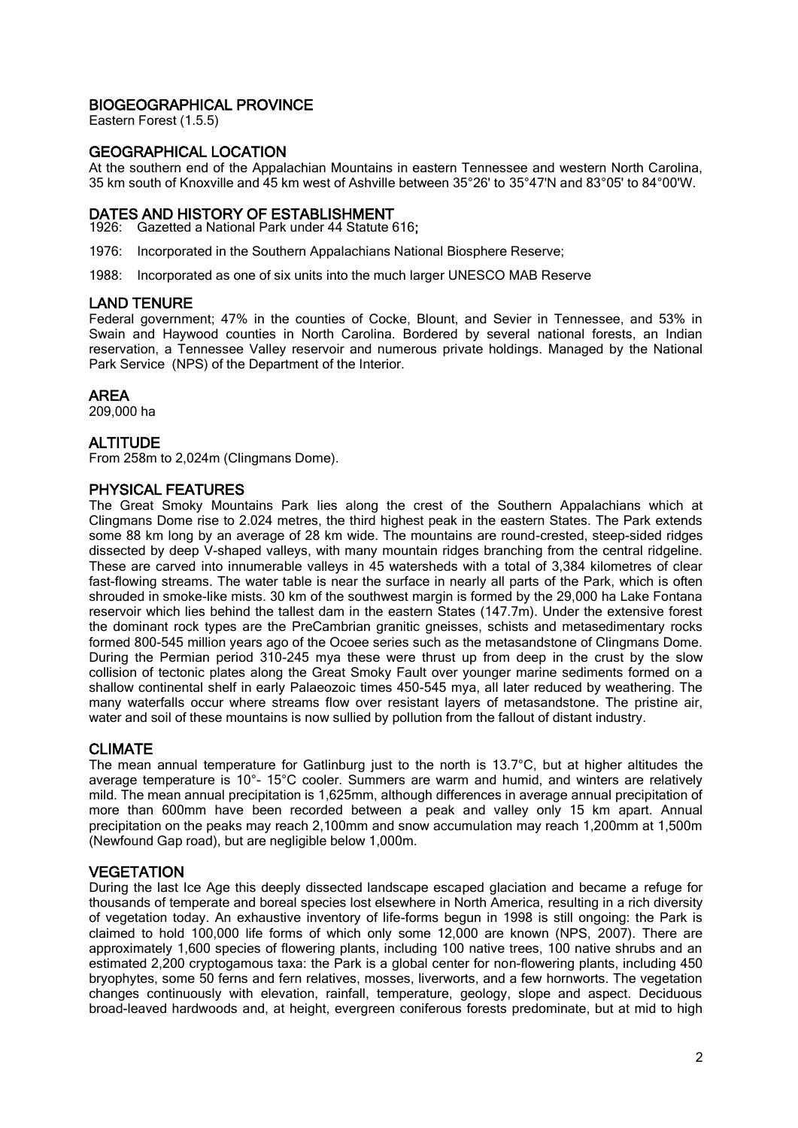# BIOGEOGRAPHICAL PROVINCE

Eastern Forest (1.5.5)

## GEOGRAPHICAL LOCATION

At the southern end of the Appalachian Mountains in eastern Tennessee and western North Carolina, 35 km south of Knoxville and 45 km west of Ashville between 35°26' to 35°47'N and 83°05' to 84°00'W.

# DATES AND HISTORY OF ESTABLISHMENT

1926: Gazetted a National Park under 44 Statute 616;

1976: Incorporated in the Southern Appalachians National Biosphere Reserve;

1988: Incorporated as one of six units into the much larger UNESCO MAB Reserve

#### LAND TENURE

Federal government; 47% in the counties of Cocke, Blount, and Sevier in Tennessee, and 53% in Swain and Haywood counties in North Carolina. Bordered by several national forests, an Indian reservation, a Tennessee Valley reservoir and numerous private holdings. Managed by the National Park Service (NPS) of the Department of the Interior.

#### AREA

209,000 ha

## **ALTITUDE**

From 258m to 2,024m (Clingmans Dome).

#### PHYSICAL FEATURES

The Great Smoky Mountains Park lies along the crest of the Southern Appalachians which at Clingmans Dome rise to 2.024 metres, the third highest peak in the eastern States. The Park extends some 88 km long by an average of 28 km wide. The mountains are round-crested, steep-sided ridges dissected by deep V-shaped valleys, with many mountain ridges branching from the central ridgeline. These are carved into innumerable valleys in 45 watersheds with a total of 3,384 kilometres of clear fast-flowing streams. The water table is near the surface in nearly all parts of the Park, which is often shrouded in smoke-like mists. 30 km of the southwest margin is formed by the 29,000 ha Lake Fontana reservoir which lies behind the tallest dam in the eastern States (147.7m). Under the extensive forest the dominant rock types are the PreCambrian granitic gneisses, schists and metasedimentary rocks formed 800-545 million years ago of the Ocoee series such as the metasandstone of Clingmans Dome. During the Permian period 310-245 mya these were thrust up from deep in the crust by the slow collision of tectonic plates along the Great Smoky Fault over younger marine sediments formed on a shallow continental shelf in early Palaeozoic times 450-545 mya, all later reduced by weathering. The many waterfalls occur where streams flow over resistant layers of metasandstone. The pristine air, water and soil of these mountains is now sullied by pollution from the fallout of distant industry.

#### CLIMATE

The mean annual temperature for Gatlinburg just to the north is  $13.7^{\circ}$ C, but at higher altitudes the average temperature is 10°- 15°C cooler. Summers are warm and humid, and winters are relatively mild. The mean annual precipitation is 1,625mm, although differences in average annual precipitation of more than 600mm have been recorded between a peak and valley only 15 km apart. Annual precipitation on the peaks may reach 2,100mm and snow accumulation may reach 1,200mm at 1,500m (Newfound Gap road), but are negligible below 1,000m.

#### **VEGETATION**

During the last Ice Age this deeply dissected landscape escaped glaciation and became a refuge for thousands of temperate and boreal species lost elsewhere in North America, resulting in a rich diversity of vegetation today. An exhaustive inventory of life-forms begun in 1998 is still ongoing: the Park is claimed to hold 100,000 life forms of which only some 12,000 are known (NPS, 2007). There are approximately 1,600 species of flowering plants, including 100 native trees, 100 native shrubs and an estimated 2,200 cryptogamous taxa: the Park is a global center for non-flowering plants, including 450 bryophytes, some 50 ferns and fern relatives, mosses, liverworts, and a few hornworts. The vegetation changes continuously with elevation, rainfall, temperature, geology, slope and aspect. Deciduous broad-leaved hardwoods and, at height, evergreen coniferous forests predominate, but at mid to high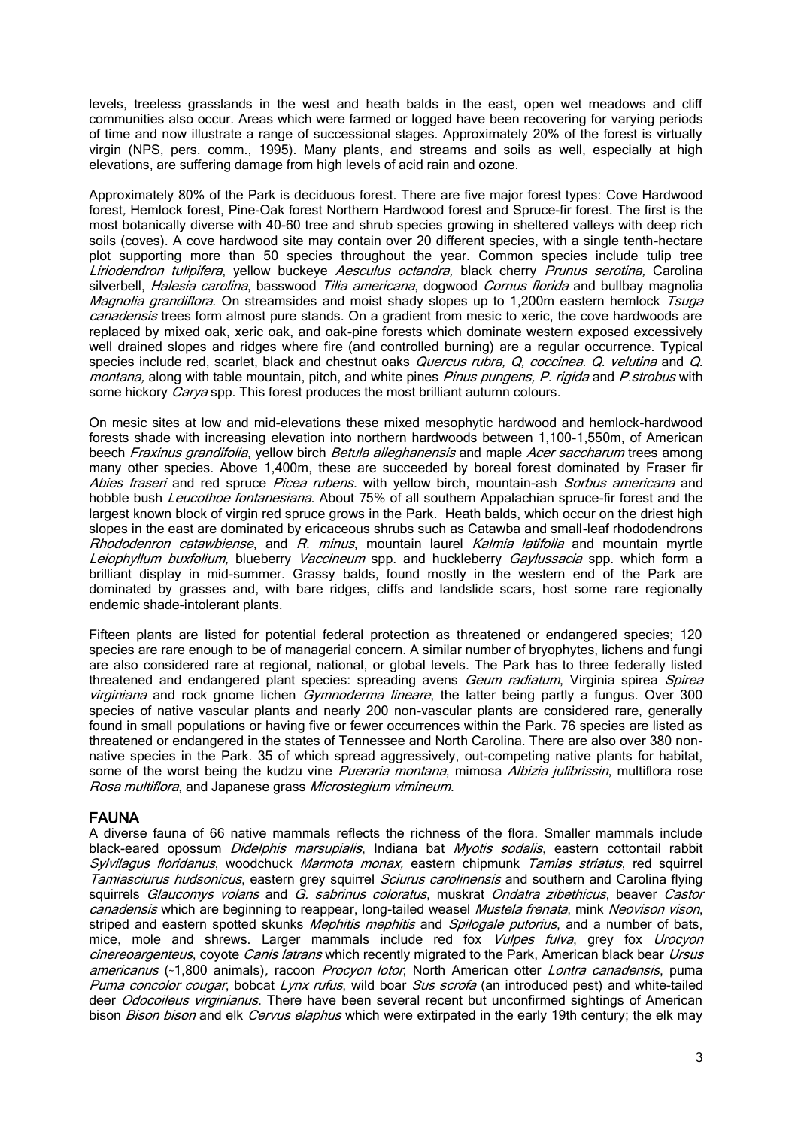levels, treeless grasslands in the west and heath balds in the east, open wet meadows and cliff communities also occur. Areas which were farmed or logged have been recovering for varying periods of time and now illustrate a range of successional stages. Approximately 20% of the forest is virtually virgin (NPS, pers. comm., 1995). Many plants, and streams and soils as well, especially at high elevations, are suffering damage from high levels of acid rain and ozone.

Approximately 80% of the Park is deciduous forest. There are five major forest types: Cove Hardwood forest, Hemlock forest, Pine-Oak forest Northern Hardwood forest and Spruce-fir forest. The first is the most botanically diverse with 40-60 tree and shrub species growing in sheltered valleys with deep rich soils (coves). A cove hardwood site may contain over 20 different species, with a single tenth-hectare plot supporting more than 50 species throughout the year. Common species include tulip tree Liriodendron tulipifera, yellow buckeye Aesculus octandra, black cherry Prunus serotina, Carolina silverbell, *Halesia carolina*, basswood Tilia americana, dogwood Cornus florida and bullbay magnolia Magnolia grandiflora. On streamsides and moist shady slopes up to 1,200m eastern hemlock Tsuga canadensis trees form almost pure stands. On a gradient from mesic to xeric, the cove hardwoods are replaced by mixed oak, xeric oak, and oak-pine forests which dominate western exposed excessively well drained slopes and ridges where fire (and controlled burning) are a regular occurrence. Typical species include red, scarlet, black and chestnut oaks *Quercus rubra, Q, coccinea. Q, velutina* and Q. montana, along with table mountain, pitch, and white pines Pinus pungens, P. rigida and P. strobus with some hickory *Carya* spp. This forest produces the most brilliant autumn colours.

On mesic sites at low and mid-elevations these mixed mesophytic hardwood and hemlock-hardwood forests shade with increasing elevation into northern hardwoods between 1,100-1,550m, of American beech Fraxinus grandifolia, yellow birch Betula alleghanensis and maple Acer saccharum trees among many other species. Above 1,400m, these are succeeded by boreal forest dominated by Fraser fir Abies fraseri and red spruce Picea rubens. with yellow birch, mountain-ash Sorbus americana and hobble bush Leucothoe fontanesiana. About 75% of all southern Appalachian spruce-fir forest and the largest known block of virgin red spruce grows in the Park. Heath balds, which occur on the driest high slopes in the east are dominated by ericaceous shrubs such as Catawba and small-leaf rhododendrons Rhododenron catawbiense, and R. minus, mountain laurel Kalmia latifolia and mountain myrtle Leiophyllum buxfolium, blueberry Vaccineum spp. and huckleberry Gaylussacia spp. which form a brilliant display in mid-summer. Grassy balds, found mostly in the western end of the Park are dominated by grasses and, with bare ridges, cliffs and landslide scars, host some rare regionally endemic shade-intolerant plants.

Fifteen plants are listed for potential federal protection as threatened or endangered species; 120 species are rare enough to be of managerial concern. A similar number of bryophytes, lichens and fungi are also considered rare at regional, national, or global levels. The Park has to three federally listed threatened and endangered plant species: spreading avens *Geum radiatum*, Virginia spirea *Spirea* virginiana and rock gnome lichen Gymnoderma lineare, the latter being partly a fungus. Over 300 species of native vascular plants and nearly 200 non-vascular plants are considered rare, generally found in small populations or having five or fewer occurrences within the Park. 76 species are listed as threatened or endangered in the states of Tennessee and North Carolina. There are also over 380 nonnative species in the Park. 35 of which spread aggressively, out-competing native plants for habitat, some of the worst being the kudzu vine Pueraria montana, mimosa Albizia julibrissin, multiflora rose Rosa multiflora, and Japanese grass Microstegium vimineum.

# FAUNA

A diverse fauna of 66 native mammals reflects the richness of the flora. Smaller mammals include black-eared opossum *Didelphis marsupialis*, Indiana bat Myotis sodalis, eastern cottontail rabbit Sylvilagus floridanus, woodchuck Marmota monax, eastern chipmunk Tamias striatus, red squirrel Tamiasciurus hudsonicus, eastern grey squirrel Sciurus carolinensis and southern and Carolina flying squirrels Glaucomys volans and G. sabrinus coloratus, muskrat Ondatra zibethicus, beaver Castor canadensis which are beginning to reappear, long-tailed weasel Mustela frenata, mink Neovison vison, striped and eastern spotted skunks Mephitis mephitis and Spilogale putorius, and a number of bats, mice, mole and shrews. Larger mammals include red fox *Vulpes fulva*, grey fox *Urocyon* cinereoargenteus, coyote Canis latrans which recently migrated to the Park, American black bear Ursus americanus (~1,800 animals), racoon *Procvon lotor*, North American otter *Lontra canadensis*, puma Puma concolor cougar, bobcat Lynx rufus, wild boar Sus scrofa (an introduced pest) and white-tailed deer *Odocoileus virginianus*. There have been several recent but unconfirmed sightings of American bison *Bison bison* and elk *Cervus elaphus* which were extirpated in the early 19th century; the elk may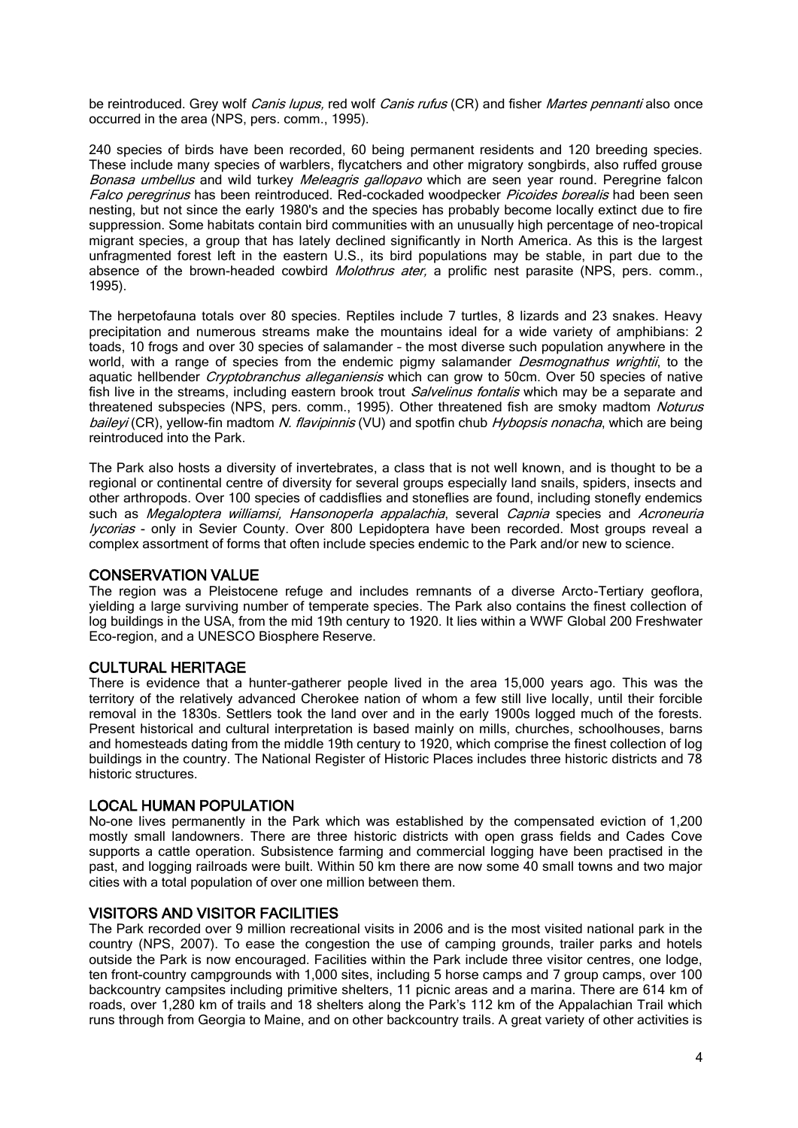be reintroduced. Grey wolf Canis lupus, red wolf Canis rufus (CR) and fisher Martes pennanti also once occurred in the area (NPS, pers. comm., 1995).

240 species of birds have been recorded, 60 being permanent residents and 120 breeding species. These include many species of warblers, flycatchers and other migratory songbirds, also ruffed grouse Bonasa umbellus and wild turkey Meleagris gallopavo which are seen year round. Peregrine falcon Falco peregrinus has been reintroduced. Red-cockaded woodpecker Picoides borealis had been seen nesting, but not since the early 1980's and the species has probably become locally extinct due to fire suppression. Some habitats contain bird communities with an unusually high percentage of neo-tropical migrant species, a group that has lately declined significantly in North America. As this is the largest unfragmented forest left in the eastern U.S., its bird populations may be stable, in part due to the absence of the brown-headed cowbird *Molothrus ater*, a prolific nest parasite (NPS, pers. comm., 1995).

The herpetofauna totals over 80 species. Reptiles include 7 turtles, 8 lizards and 23 snakes. Heavy precipitation and numerous streams make the mountains ideal for a wide variety of amphibians: 2 toads, 10 frogs and over 30 species of salamander – the most diverse such population anywhere in the world, with a range of species from the endemic pigmy salamander Desmognathus wrightii, to the aquatic hellbender *Cryptobranchus alleganiensis* which can grow to 50cm. Over 50 species of native fish live in the streams, including eastern brook trout *Salvelinus fontalis* which may be a separate and threatened subspecies (NPS, pers. comm., 1995). Other threatened fish are smoky madtom Noturus baileyi (CR), yellow-fin madtom N. flavipinnis (VU) and spotfin chub Hybopsis nonacha, which are being reintroduced into the Park.

The Park also hosts a diversity of invertebrates, a class that is not well known, and is thought to be a regional or continental centre of diversity for several groups especially land snails, spiders, insects and other arthropods. Over 100 species of caddisflies and stoneflies are found, including stonefly endemics such as Megaloptera williamsi, Hansonoperla appalachia, several Capnia species and Acroneuria lycorias - only in Sevier County. Over 800 Lepidoptera have been recorded. Most groups reveal a complex assortment of forms that often include species endemic to the Park and/or new to science.

#### CONSERVATION VALUE

The region was a Pleistocene refuge and includes remnants of a diverse Arcto-Tertiary geoflora, yielding a large surviving number of temperate species. The Park also contains the finest collection of log buildings in the USA, from the mid 19th century to 1920. It lies within a WWF Global 200 Freshwater Eco-region, and a UNESCO Biosphere Reserve.

#### CULTURAL HERITAGE

There is evidence that a hunter-gatherer people lived in the area 15,000 years ago. This was the territory of the relatively advanced Cherokee nation of whom a few still live locally, until their forcible removal in the 1830s. Settlers took the land over and in the early 1900s logged much of the forests. Present historical and cultural interpretation is based mainly on mills, churches, schoolhouses, barns and homesteads dating from the middle 19th century to 1920, which comprise the finest collection of log buildings in the country. The National Register of Historic Places includes three historic districts and 78 historic structures.

#### LOCAL HUMAN POPULATION

No-one lives permanently in the Park which was established by the compensated eviction of 1,200 mostly small landowners. There are three historic districts with open grass fields and Cades Cove supports a cattle operation. Subsistence farming and commercial logging have been practised in the past, and logging railroads were built. Within 50 km there are now some 40 small towns and two major cities with a total population of over one million between them.

#### VISITORS AND VISITOR FACILITIES

The Park recorded over 9 million recreational visits in 2006 and is the most visited national park in the country (NPS, 2007). To ease the congestion the use of camping grounds, trailer parks and hotels outside the Park is now encouraged. Facilities within the Park include three visitor centres, one lodge, ten front-country campgrounds with 1,000 sites, including 5 horse camps and 7 group camps, over 100 backcountry campsites including primitive shelters, 11 picnic areas and a marina. There are 614 km of roads, over 1,280 km of trails and 18 shelters along the Park's 112 km of the Appalachian Trail which runs through from Georgia to Maine, and on other backcountry trails. A great variety of other activities is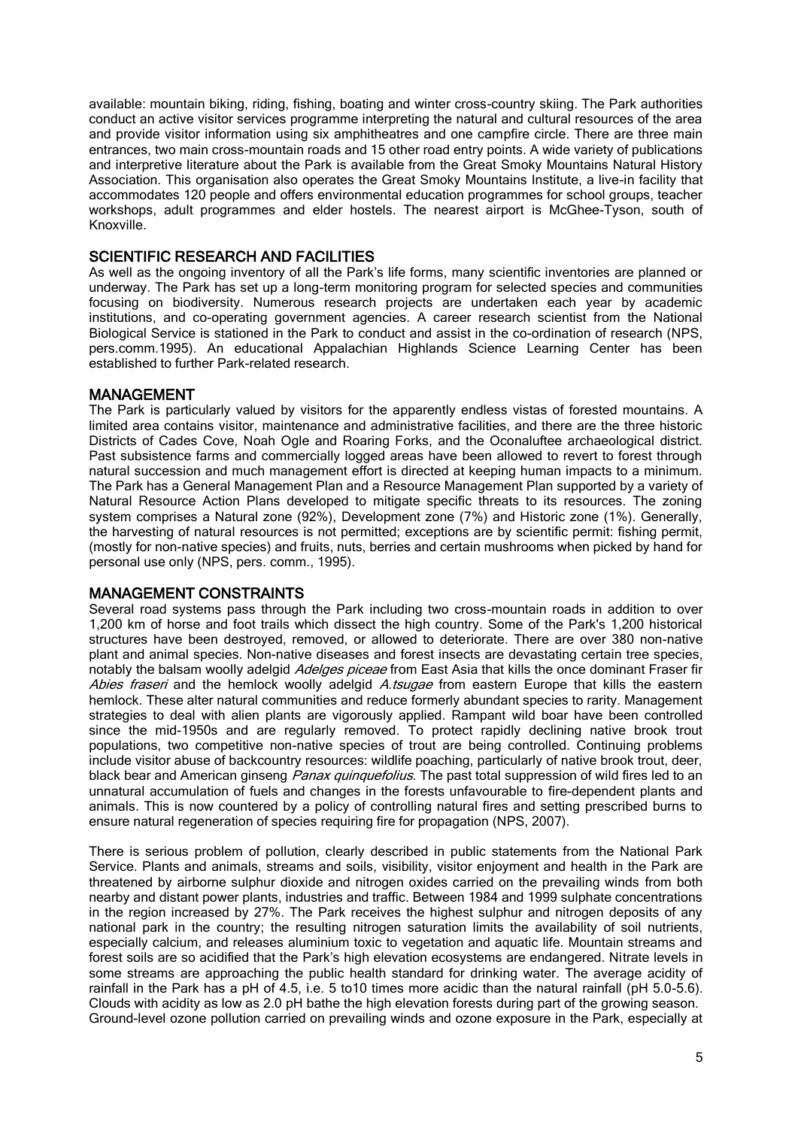available: mountain biking, riding, fishing, boating and winter cross-country skiing. The Park authorities conduct an active visitor services programme interpreting the natural and cultural resources of the area and provide visitor information using six amphitheatres and one campfire circle. There are three main entrances, two main cross-mountain roads and 15 other road entry points. A wide variety of publications and interpretive literature about the Park is available from the Great Smoky Mountains Natural History Association. This organisation also operates the Great Smoky Mountains Institute, a live-in facility that accommodates 120 people and offers environmental education programmes for school groups, teacher workshops, adult programmes and elder hostels. The nearest airport is McGhee-Tyson, south of Knoxville.

# SCIENTIFIC RESEARCH AND FACILITIES

As well as the ongoing inventory of all the Park's life forms, many scientific inventories are planned or underway. The Park has set up a long-term monitoring program for selected species and communities focusing on biodiversity. Numerous research projects are undertaken each year by academic institutions, and co-operating government agencies. A career research scientist from the National Biological Service is stationed in the Park to conduct and assist in the co-ordination of research (NPS, pers.comm.1995). An educational Appalachian Highlands Science Learning Center has been established to further Park-related research.

# MANAGEMENT

The Park is particularly valued by visitors for the apparently endless vistas of forested mountains. A limited area contains visitor, maintenance and administrative facilities, and there are the three historic Districts of Cades Cove, Noah Ogle and Roaring Forks, and the Oconaluftee archaeological district. Past subsistence farms and commercially logged areas have been allowed to revert to forest through natural succession and much management effort is directed at keeping human impacts to a minimum. The Park has a General Management Plan and a Resource Management Plan supported by a variety of Natural Resource Action Plans developed to mitigate specific threats to its resources. The zoning system comprises a Natural zone (92%), Development zone (7%) and Historic zone (1%). Generally, the harvesting of natural resources is not permitted; exceptions are by scientific permit: fishing permit, (mostly for non-native species) and fruits, nuts, berries and certain mushrooms when picked by hand for personal use only (NPS, pers. comm., 1995).

#### MANAGEMENT CONSTRAINTS

Several road systems pass through the Park including two cross-mountain roads in addition to over 1,200 km of horse and foot trails which dissect the high country. Some of the Park's 1,200 historical structures have been destroyed, removed, or allowed to deteriorate. There are over 380 non-native plant and animal species. Non-native diseases and forest insects are devastating certain tree species, notably the balsam woolly adelgid Adelges piceae from East Asia that kills the once dominant Fraser fir Abies fraseri and the hemlock woolly adelgid A.tsugae from eastern Europe that kills the eastern hemlock. These alter natural communities and reduce formerly abundant species to rarity. Management strategies to deal with alien plants are vigorously applied. Rampant wild boar have been controlled since the mid-1950s and are regularly removed. To protect rapidly declining native brook trout populations, two competitive non-native species of trout are being controlled. Continuing problems include visitor abuse of backcountry resources: wildlife poaching, particularly of native brook trout, deer, black bear and American ginseng *Panax quinquefolius*. The past total suppression of wild fires led to an unnatural accumulation of fuels and changes in the forests unfavourable to fire-dependent plants and animals. This is now countered by a policy of controlling natural fires and setting prescribed burns to ensure natural regeneration of species requiring fire for propagation (NPS, 2007).

There is serious problem of pollution, clearly described in public statements from the National Park Service. Plants and animals, streams and soils, visibility, visitor enjoyment and health in the Park are threatened by airborne sulphur dioxide and nitrogen oxides carried on the prevailing winds from both nearby and distant power plants, industries and traffic. Between 1984 and 1999 sulphate concentrations in the region increased by 27%. The Park receives the highest sulphur and nitrogen deposits of any national park in the country; the resulting nitrogen saturation limits the availability of soil nutrients, especially calcium, and releases aluminium toxic to vegetation and aquatic life. Mountain streams and forest soils are so acidified that the Park's high elevation ecosystems are endangered. Nitrate levels in some streams are approaching the public health standard for drinking water. The average acidity of rainfall in the Park has a pH of 4.5, i.e. 5 to 10 times more acidic than the natural rainfall (pH 5.0-5.6). Clouds with acidity as low as 2.0 pH bathe the high elevation forests during part of the growing season. Ground-level ozone pollution carried on prevailing winds and ozone exposure in the Park, especially at